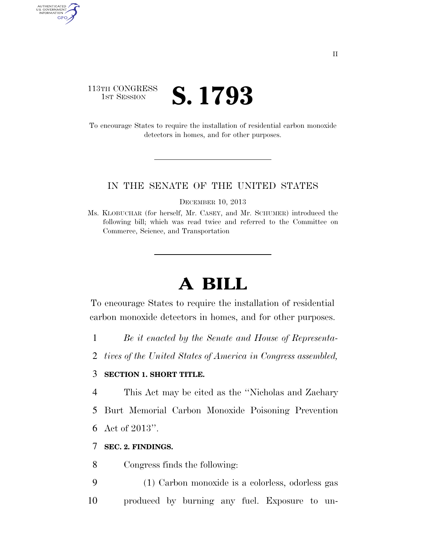# 113TH CONGRESS **IST SESSION S. 1793**

AUTHENTICATED U.S. GOVERNMENT GPO

> To encourage States to require the installation of residential carbon monoxide detectors in homes, and for other purposes.

#### IN THE SENATE OF THE UNITED STATES

DECEMBER 10, 2013

# **A BILL**

To encourage States to require the installation of residential carbon monoxide detectors in homes, and for other purposes.

- 1 *Be it enacted by the Senate and House of Representa-*
- 2 *tives of the United States of America in Congress assembled,*

# 3 **SECTION 1. SHORT TITLE.**

- 4 This Act may be cited as the ''Nicholas and Zachary
- 5 Burt Memorial Carbon Monoxide Poisoning Prevention
- 6 Act of 2013''.

### 7 **SEC. 2. FINDINGS.**

8 Congress finds the following:

9 (1) Carbon monoxide is a colorless, odorless gas 10 produced by burning any fuel. Exposure to un-

Ms. KLOBUCHAR (for herself, Mr. CASEY, and Mr. SCHUMER) introduced the following bill; which was read twice and referred to the Committee on Commerce, Science, and Transportation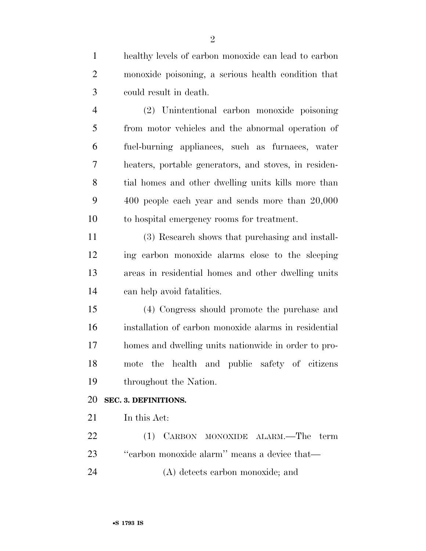healthy levels of carbon monoxide can lead to carbon monoxide poisoning, a serious health condition that could result in death.

 (2) Unintentional carbon monoxide poisoning from motor vehicles and the abnormal operation of fuel-burning appliances, such as furnaces, water heaters, portable generators, and stoves, in residen- tial homes and other dwelling units kills more than 400 people each year and sends more than 20,000 to hospital emergency rooms for treatment.

 (3) Research shows that purchasing and install- ing carbon monoxide alarms close to the sleeping areas in residential homes and other dwelling units can help avoid fatalities.

 (4) Congress should promote the purchase and installation of carbon monoxide alarms in residential homes and dwelling units nationwide in order to pro- mote the health and public safety of citizens throughout the Nation.

## **SEC. 3. DEFINITIONS.**

In this Act:

 (1) CARBON MONOXIDE ALARM.—The term ''carbon monoxide alarm'' means a device that— (A) detects carbon monoxide; and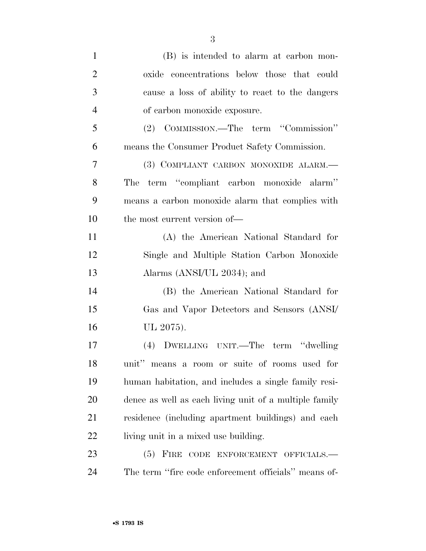| $\mathbf{1}$   | (B) is intended to alarm at carbon mon-                |
|----------------|--------------------------------------------------------|
| $\overline{2}$ | oxide concentrations below those that could            |
| 3              | cause a loss of ability to react to the dangers        |
| $\overline{4}$ | of carbon monoxide exposure.                           |
| 5              | (2) COMMISSION.—The term "Commission"                  |
| 6              | means the Consumer Product Safety Commission.          |
| 7              | (3) COMPLIANT CARBON MONOXIDE ALARM.—                  |
| 8              | The term "compliant carbon monoxide alarm"             |
| 9              | means a carbon monoxide alarm that complies with       |
| 10             | the most current version of—                           |
| 11             | (A) the American National Standard for                 |
| 12             | Single and Multiple Station Carbon Monoxide            |
| 13             | Alarms (ANSI/UL 2034); and                             |
| 14             | (B) the American National Standard for                 |
| 15             | Gas and Vapor Detectors and Sensors (ANSI/             |
| 16             | UL 2075).                                              |
| 17             | (4) DWELLING UNIT.—The term "dwelling                  |
| 18             | unit" means a room or suite of rooms used for          |
| 19             | human habitation, and includes a single family resi-   |
| 20             | dence as well as each living unit of a multiple family |
| 21             | residence (including apartment buildings) and each     |
| 22             | living unit in a mixed use building.                   |
| 23             | (5) FIRE CODE ENFORCEMENT OFFICIALS.-                  |
| 24             | The term "fire code enforcement officials" means of-   |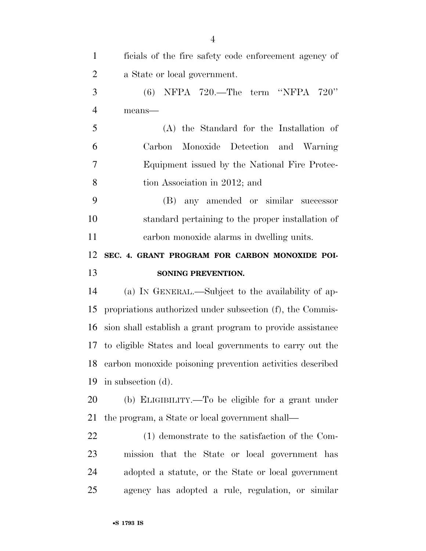| $\mathbf{1}$   | ficials of the fire safety code enforcement agency of        |
|----------------|--------------------------------------------------------------|
| $\overline{2}$ | a State or local government.                                 |
| 3              | $(6)$ NFPA 720.—The term "NFPA 720"                          |
| $\overline{4}$ | means-                                                       |
| 5              | (A) the Standard for the Installation of                     |
| 6              | Carbon Monoxide Detection and Warning                        |
| 7              | Equipment issued by the National Fire Protec-                |
| 8              | tion Association in 2012; and                                |
| 9              | (B) any amended or similar successor                         |
| 10             | standard pertaining to the proper installation of            |
| 11             | carbon monoxide alarms in dwelling units.                    |
| 12             | SEC. 4. GRANT PROGRAM FOR CARBON MONOXIDE POI-               |
| 13             | SONING PREVENTION.                                           |
| 14             | (a) IN GENERAL.—Subject to the availability of ap-           |
| 15             | propriations authorized under subsection (f), the Commis-    |
| 16             | sion shall establish a grant program to provide assistance   |
|                | 17 to eligible States and local governments to carry out the |
|                | 18 carbon monoxide poisoning prevention activities described |
| 19             | in subsection (d).                                           |
| 20             | (b) ELIGIBILITY.—To be eligible for a grant under            |
| 21             | the program, a State or local government shall—              |
| 22             | (1) demonstrate to the satisfaction of the Com-              |
| 23             | mission that the State or local government has               |
| 24             |                                                              |
|                | adopted a statute, or the State or local government          |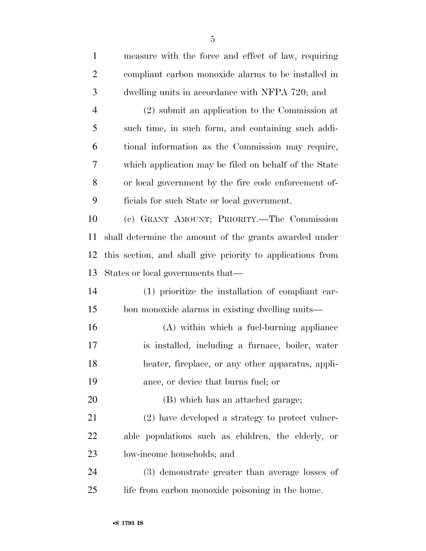| $\mathbf{1}$   | measure with the force and effect of law, requiring        |
|----------------|------------------------------------------------------------|
| $\overline{2}$ | compliant carbon monoxide alarms to be installed in        |
| 3              | dwelling units in accordance with NFPA 720; and            |
| $\overline{4}$ | $(2)$ submit an application to the Commission at           |
| 5              | such time, in such form, and containing such addi-         |
| 6              | tional information as the Commission may require,          |
| 7              | which application may be filed on behalf of the State      |
| 8              | or local government by the fire code enforcement of-       |
| 9              | ficials for such State or local government.                |
| 10             | (c) GRANT AMOUNT; PRIORITY.—The Commission                 |
| 11             | shall determine the amount of the grants awarded under     |
| 12             | this section, and shall give priority to applications from |
| 13             | States or local governments that—                          |
| 14             | (1) prioritize the installation of compliant car-          |
| 15             | bon monoxide alarms in existing dwelling units—            |
| 16             | (A) within which a fuel-burning appliance                  |
| 17             | is installed, including a furnace, boiler, water           |
| 18             | heater, fireplace, or any other apparatus, appli-          |
| 19             | ance, or device that burns fuel; or                        |
| 20             | (B) which has an attached garage;                          |
| 21             | (2) have developed a strategy to protect vulner-           |
| 22             | able populations such as children, the elderly, or         |
| 23             | low-income households; and                                 |
| 24             | (3) demonstrate greater than average losses of             |
| 25             | life from carbon monoxide poisoning in the home.           |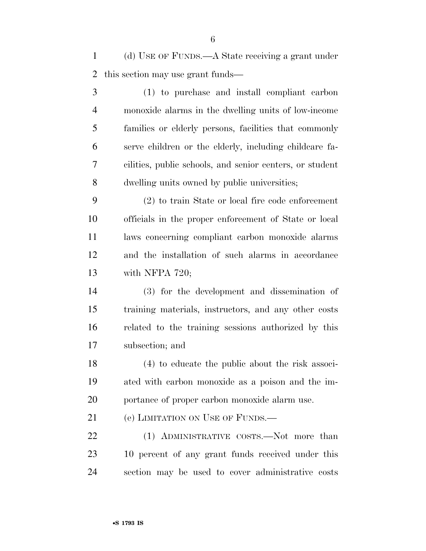(d) USE OF FUNDS.—A State receiving a grant under this section may use grant funds—

 (1) to purchase and install compliant carbon monoxide alarms in the dwelling units of low-income families or elderly persons, facilities that commonly serve children or the elderly, including childcare fa- cilities, public schools, and senior centers, or student dwelling units owned by public universities;

 (2) to train State or local fire code enforcement officials in the proper enforcement of State or local laws concerning compliant carbon monoxide alarms and the installation of such alarms in accordance with NFPA 720;

 (3) for the development and dissemination of training materials, instructors, and any other costs related to the training sessions authorized by this subsection; and

 (4) to educate the public about the risk associ- ated with carbon monoxide as a poison and the im-portance of proper carbon monoxide alarm use.

21 (e) LIMITATION ON USE OF FUNDS.

22 (1) ADMINISTRATIVE COSTS.—Not more than 10 percent of any grant funds received under this section may be used to cover administrative costs